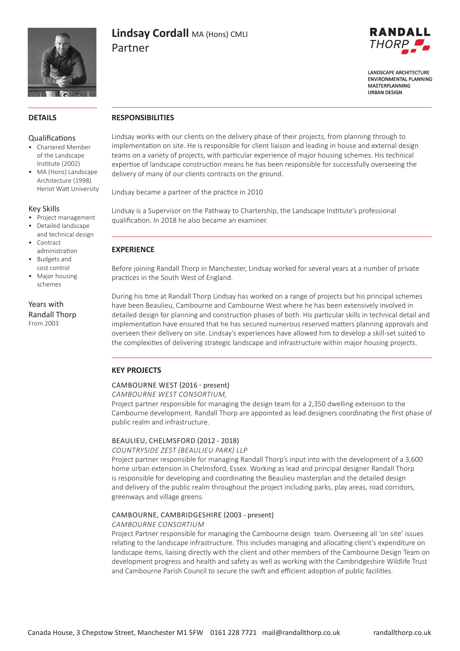

# **Lindsay Cordall** MA (Hons) CMLI Partner



**LANDSCAPE ARCHITECTURE FNVIRONMENTAL PLANNING** MASTERPLANNING **URBAN DESIGN** 

# **DETAILS**

#### Qualifications

- Chartered Member of the Landscape Institute (2002)
- MA (Hons) Landscape Architecture (1998) Heriot Watt University

## Key Skills

- Project management
- Detailed landscape
- and technical design **Contract** administration
- Budgets and cost control
- Major housing schemes

Years with Randall Thorp From 2003

# **RESPONSIBILITIES**

Lindsay works with our clients on the delivery phase of their projects, from planning through to implementation on site. He is responsible for client liaison and leading in house and external design teams on a variety of projects, with particular experience of major housing schemes. His technical expertise of landscape construction means he has been responsible for successfully overseeing the delivery of many of our clients contracts on the ground.

Lindsay became a partner of the practice in 2010

Lindsay is a Supervisor on the Pathway to Chartership, the Landscape Institute's professional qualification. In 2018 he also became an examiner.

# **EXPERIENCE**

Before joining Randall Thorp in Manchester, Lindsay worked for several years at a number of private practices in the South West of England.

During his time at Randall Thorp Lindsay has worked on a range of projects but his principal schemes have been Beaulieu, Cambourne and Cambourne West where he has been extensively involved in detailed design for planning and construction phases of both. His particular skills in technical detail and implementation have ensured that he has secured numerous reserved matters planning approvals and overseen their delivery on site. Lindsay's experiences have allowed him to develop a skill-set suited to the complexities of delivering strategic landscape and infrastructure within major housing projects.

# **KEY PROJECTS**

#### CAMBOURNE WEST (2016 - present)

*CAMBOURNE WEST CONSORTIUM,*

Project partner responsible for managing the design team for a 2,350 dwelling extension to the Cambourne development. Randall Thorp are appointed as lead designers coordinating the first phase of public realm and infrastructure.

#### BEAULIEU, CHELMSFORD (2012 - 2018)

#### *COUNTRYSIDE ZEST (BEAULIEU PARK) LLP*

Project partner responsible for managing Randall Thorp's input into with the development of a 3,600 home urban extension in Chelmsford, Essex. Working as lead and principal designer Randall Thorp is responsible for developing and coordinating the Beaulieu masterplan and the detailed design and delivery of the public realm throughout the project including parks, play areas, road corridors, greenways and village greens.

# CAMBOURNE, CAMBRIDGESHIRE (2003 - present)

#### *CAMBOURNE CONSORTIUM*

Project Partner responsible for managing the Cambourne design team. Overseeing all 'on site' issues relating to the landscape infrastructure. This includes managing and allocating client's expenditure on landscape items, liaising directly with the client and other members of the Cambourne Design Team on development progress and health and safety as well as working with the Cambridgeshire Wildlife Trust and Cambourne Parish Council to secure the swift and efficient adoption of public facilities.